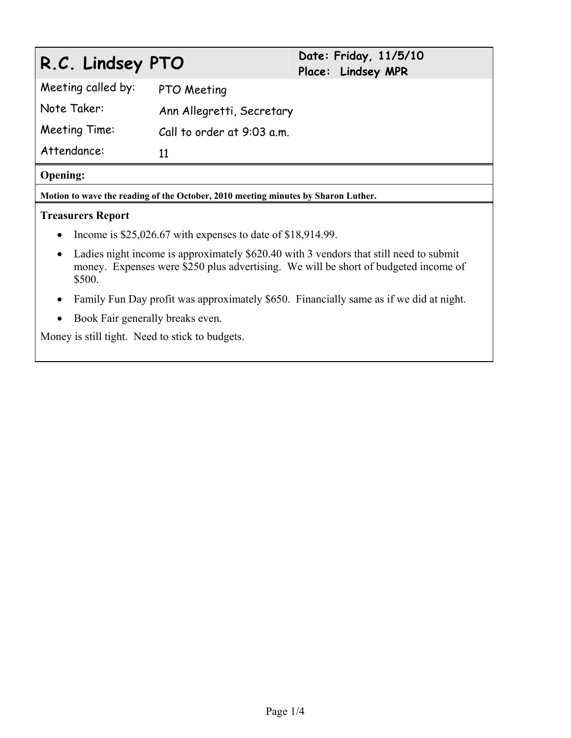# **R.C. Lindsey PTO Date: Friday, 11/5/10**

**Place: Lindsey MPR** 

Meeting called by: PTO Meeting Note Taker: Ann Allegretti, Secretary Meeting Time: Call to order at 9:03 a.m. Attendance: 11

## **Opening:**

**Motion to wave the reading of the October, 2010 meeting minutes by Sharon Luther.** 

## **Treasurers Report**

- Income is  $$25,026.67$  with expenses to date of  $$18,914.99$ .
- Ladies night income is approximately \$620.40 with 3 vendors that still need to submit money. Expenses were \$250 plus advertising. We will be short of budgeted income of \$500.
- Family Fun Day profit was approximately \$650. Financially same as if we did at night.
- Book Fair generally breaks even.

Money is still tight. Need to stick to budgets.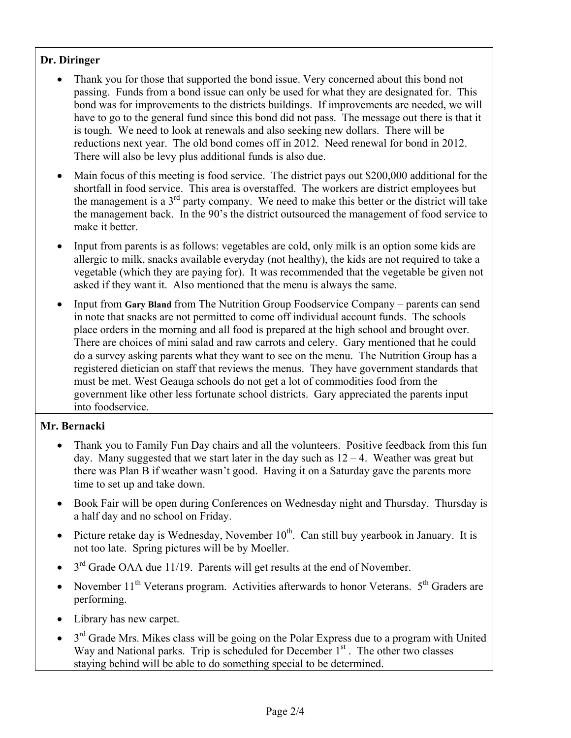## **Dr. Diringer**

- Thank you for those that supported the bond issue. Very concerned about this bond not passing. Funds from a bond issue can only be used for what they are designated for. This bond was for improvements to the districts buildings. If improvements are needed, we will have to go to the general fund since this bond did not pass. The message out there is that it is tough. We need to look at renewals and also seeking new dollars. There will be reductions next year. The old bond comes off in 2012. Need renewal for bond in 2012. There will also be levy plus additional funds is also due.
- Main focus of this meeting is food service. The district pays out \$200,000 additional for the shortfall in food service. This area is overstaffed. The workers are district employees but the management is a  $3<sup>rd</sup>$  party company. We need to make this better or the district will take the management back. In the 90's the district outsourced the management of food service to make it better.
- Input from parents is as follows: vegetables are cold, only milk is an option some kids are allergic to milk, snacks available everyday (not healthy), the kids are not required to take a vegetable (which they are paying for). It was recommended that the vegetable be given not asked if they want it. Also mentioned that the menu is always the same.
- Input from Gary Bland from The Nutrition Group Foodservice Company parents can send in note that snacks are not permitted to come off individual account funds. The schools place orders in the morning and all food is prepared at the high school and brought over. There are choices of mini salad and raw carrots and celery. Gary mentioned that he could do a survey asking parents what they want to see on the menu. The Nutrition Group has a registered dietician on staff that reviews the menus. They have government standards that must be met. West Geauga schools do not get a lot of commodities food from the government like other less fortunate school districts. Gary appreciated the parents input into foodservice.

## **Mr. Bernacki**

- Thank you to Family Fun Day chairs and all the volunteers. Positive feedback from this fun day. Many suggested that we start later in the day such as  $12 - 4$ . Weather was great but there was Plan B if weather wasn't good. Having it on a Saturday gave the parents more time to set up and take down.
- Book Fair will be open during Conferences on Wednesday night and Thursday. Thursday is a half day and no school on Friday.
- Picture retake day is Wednesday, November  $10^{th}$ . Can still buy yearbook in January. It is not too late. Spring pictures will be by Moeller.
- $\bullet$  3<sup>rd</sup> Grade OAA due 11/19. Parents will get results at the end of November.
- November  $11<sup>th</sup>$  Veterans program. Activities afterwards to honor Veterans.  $5<sup>th</sup>$  Graders are performing.
- Library has new carpet.
- $\bullet$  3<sup>rd</sup> Grade Mrs. Mikes class will be going on the Polar Express due to a program with United Way and National parks. Trip is scheduled for December  $1<sup>st</sup>$ . The other two classes staying behind will be able to do something special to be determined.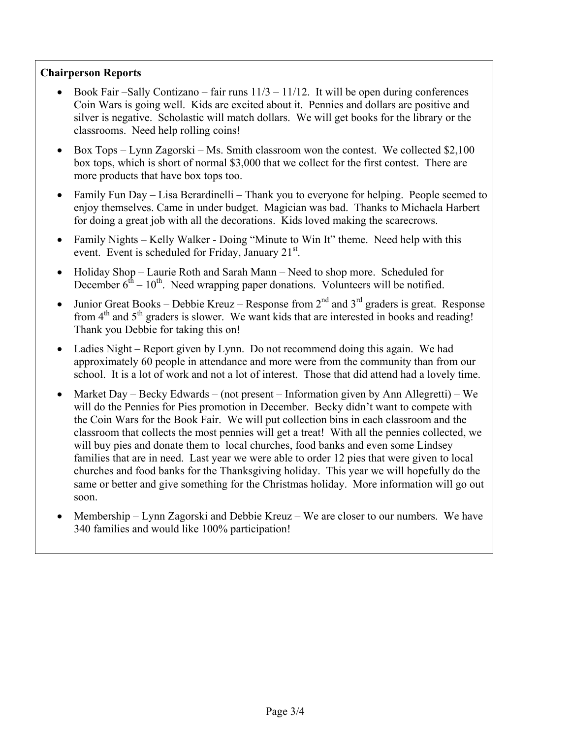## **Chairperson Reports**

- Book Fair –Sally Contizano fair runs  $11/3 11/12$ . It will be open during conferences Coin Wars is going well. Kids are excited about it. Pennies and dollars are positive and silver is negative. Scholastic will match dollars. We will get books for the library or the classrooms. Need help rolling coins!
- Box Tops Lynn Zagorski Ms. Smith classroom won the contest. We collected  $$2,100$ box tops, which is short of normal \$3,000 that we collect for the first contest. There are more products that have box tops too.
- Family Fun Day Lisa Berardinelli Thank you to everyone for helping. People seemed to enjoy themselves. Came in under budget. Magician was bad. Thanks to Michaela Harbert for doing a great job with all the decorations. Kids loved making the scarecrows.
- Family Nights Kelly Walker Doing "Minute to Win It" theme. Need help with this event. Event is scheduled for Friday, January 21<sup>st</sup>.
- Holiday Shop Laurie Roth and Sarah Mann Need to shop more. Scheduled for December  $6^{th} - 10^{th}$ . Need wrapping paper donations. Volunteers will be notified.
- Junior Great Books Debbie Kreuz Response from  $2^{nd}$  and  $3^{rd}$  graders is great. Response from  $4<sup>th</sup>$  and  $5<sup>th</sup>$  graders is slower. We want kids that are interested in books and reading! Thank you Debbie for taking this on!
- Ladies Night Report given by Lynn. Do not recommend doing this again. We had approximately 60 people in attendance and more were from the community than from our school. It is a lot of work and not a lot of interest. Those that did attend had a lovely time.
- Market Day Becky Edwards (not present Information given by Ann Allegretti) We will do the Pennies for Pies promotion in December. Becky didn't want to compete with the Coin Wars for the Book Fair. We will put collection bins in each classroom and the classroom that collects the most pennies will get a treat! With all the pennies collected, we will buy pies and donate them to local churches, food banks and even some Lindsey families that are in need. Last year we were able to order 12 pies that were given to local churches and food banks for the Thanksgiving holiday. This year we will hopefully do the same or better and give something for the Christmas holiday. More information will go out soon.
- Membership Lynn Zagorski and Debbie Kreuz We are closer to our numbers. We have 340 families and would like 100% participation!